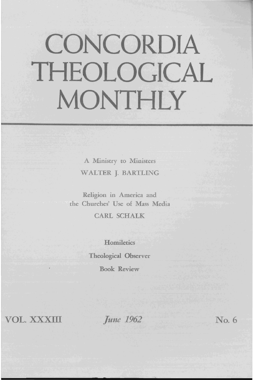# **CONCORDIA THEOLOGICAL MONTHLY**

A Ministry to Ministers WALTER J. BARTLING

Religion in America and the Churches' Use of Mass Media

CARL SCHALK

**Homiletics** Theological Observer Book Review

**VOL. XXXIII** *June 1962* No. 6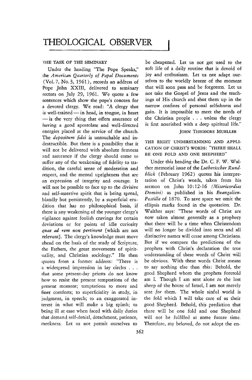### THE TASK OF THE SEMINARY

Under the heading "The Pope Speaks," the American Quarterly of Papal Documents (Vol. 7, No.3, 1961), records an address of Pope John XXIII, delivered to seminary rectors on July 29, 1961. We quote a few sentences which show the pope's concern for a devoted clergy. We read: "A clergy that is well-trained - in head, in tongue, in heart - is the very thing that offers assurance of having a good apostolate and well-directed energies placed **at** the service of the church. The *depositum fidei* is untouchable and indestructible. But there is a possibility that it THE RIGHT UNDERSTANDING AND APPLI-<br>will not be delivered with ebsolute firmness. CATION OF CHRIST'S WORDS: "THERE SHALL will not be delivered with absolute firmness CATION OF CHRIST'S WORDS: THERE and assurance if the clergy should come to suffer any of the weakening of fidelity to tra-<br>Under this heading the Dr. C. F. W. Waldition, the careful sense of moderation and ther memorial issue of the *Lutherischer Rund*respect, and the mental uprightness that are *blick* (February 1962) quotes his interprean expression of integrity and courage. It tation of Christ's words, taken from his will not be possible to face up to the divisive sermon on John 10:12-16 *(Misericordias* and self-assertive spirit that is being spread, *Domini)* as published in his *Bvangelien*blandly but persistently, by a superficial eru- *Postille* of 1870. To save space we omit the dition that has no philosophical basis, if ellipsis marks found in the quotation. Dr.<br>there is any weakening of the vounger clergy's Walther says: "These words of Christ are there is any weakening of the younger clergy's vigilance against foolish cravings for certain now taken almost generally as a prophecy deviations or for points of idle curiosity that there will be a time when Christendom *quae* ad *rem non pertinent* [which are not will no longer be divided into sects and all relevant]. The clergy's knowledge must move distinctive names will cease among Christians. ahead on the basis of the study of Scripture, But if we compare the predictions of the the Fathers, the great movements of spirit- prophets with Christ's declaration the true uality, and Christian sociology." He then understanding of these words of Christ will quotes from a former address: "There is be obvious. With these words Christ means a widespread impression in lay circles . . . to say nothing else than this: Behold, the that some present-day priests do not know good Shepherd whom the prophets foretold that some present-day priests do not know how to resist the present temptations of the am 1. Though I am sent alone *to* the lost present moment; temptations to more and sheep of the house of Israel, I am not merely finer comforts; to superficiality in study, in sent *for* them. The whole sinful world is judgment, in speech; to an exaggerated in- the fold which I will take care of as their terest in what will make a big splash; to good Shepherd. Behold, this prediction that being ill at ease when faced with daily duties there will be one fold and one Shepherd that demand self-denial, detachment, patience, will not be fulfilled at some future time.

be cheapened. Let us not get used to the soft life of a daily routine that is devoid of joy and enthusiasm. Let us not adapt ourselves to the worldly breeze of the moment that will soon pass and be forgotten. Let us not take the Gospel of Jesus and the teachings of His church and shut them up in the narrow confines of personal selfishness and gain. It is impossible to meet the needs of the Christian people ... unless the clergy is first nourished with a deep spirirual life."

# JOHN THEODORE MUELLER

be obvious. With these words Christ means meekness. Let us not permit ourselves to Therefore, my beloved, do not adopt the en-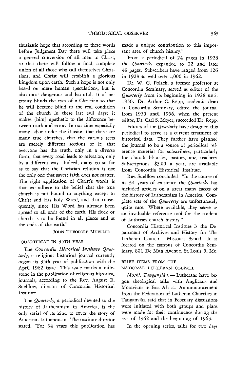thusiastic hope that according to these words before Judgment Day there will take place a general conversion of all men to Christ, so that there will follow a final, complete union of all those who call themselves Christians, and Christ will establish a glorious kingdom upon earth. Such a hope is not only based on mere human speculations, but is also moot dangerous and harmfuL It of necessity blinds the eyes of a Christian so that he will become blind to the real condition of the church in these last evil days; it makes [him} apathetic to the difference between truth and error. In our time especially many labor under the illusion that there are many true churches; that the various sects are merely different sections of it; that everyone has the truth, only in a diverse form; that every road leads to salvation, only by a different way. Indeed, many go so far as to say that the Christian religion is not the only one that saves; faith does not matter. The right application of Christ's words is that we adhere to the belief that the true church is not bound to anything except to Christ and His holy Word, and that consequently, since His Word has already been spread to all ends of the earth, His flock or church is to be found in all places and at the ends of the earth."

#### JOHN THEODORE MUELLER

## "QUARTERLY" IN 35TH YEAR

The *Concordia Historical Institute Quarterly,* a religious historical journal currently began its 35th year of publication with the April 1962 issue. This issue marks a milestone in the publication of religious historical journals, according to the Rev. August R. Suelflow, director of Concordia Historical Institute.

The *Quarterly*, a periodical devoted to the history of Lutheranism in America, is the only serial of its kind to cover the story of American Lutheranism. The institute director stated, "For 34 years this publication has made a unique contribution to this important atea of church history."

From a periodical of 24 pages in 1928 the *Qttarterly* expanded to 32 and later 48 pages. Subscribers have ranged from 126 in 1928 to well over 1,000 in 1962.

Dr. W. G. Polack, a former professor at Concordia Seminary, setved as editor of the *Quarterly* from its beginning in 1928 until 1950. Dr. Arthur C. Repp, academic dean at Concordia Seminary, edited the journal from 1950 until 1956, when the present editor, Dr. Carl S. Meyer, succeeded Dr. Repp.

Editors of the *Quarterly* have designed this periodical to serve as a current treatment of historical data. They further have planned the journal to be a source of periodical reference material for subscribers, particularly for church libraries, pastors, and teachers. Subscriptions, \$3.00 a year, are available from Concordia Historical Institute.

Rev. Suelflow concluded: "In the course of its 34 years of existence the *Quarterly* has included atticles on a great many facets of the history of Lutheranism in America. Complete sets of the *Quarterly* are unfortunately quite rare. Where available, they serve as an invaluable reference tool for the student of Lutheran church history."

Concordia Historical Institute is the Department of Archives and History for The Lutheran Church-Missouri Synod. It is located on the campus of Concordia Seminary, 801 De Mun Avenue, St. Louis 5, Mo.

## BRIEF ITEMS FROM THE

NATIONAL LUTHERAN COUNCIL

*Moshi, Tanganyika.* - Lutherans have begun theological talks with Anglicans and Moravians in East Africa. An announcement from the Federation of Lutheran Churches in Tanganyika said that in February discussions were initiated with both groups and plans were made for their continuance during the rest of 1962 and the beginning of 1963.

In the opening series, talks for two days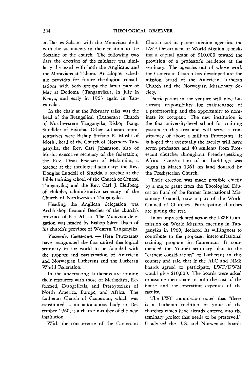at Dar es Salaam with the Moravians dealt with the sacraments in their relation to the doctrine of the church. The following two days the doctrine of the ministry was similarly discussed with both the Anglicans and the Moravians at Tabora. An adopted schedule provides for future theological consultations with both groups the latter part of May at Dodoma (Tanganyika), in July in Kenya, and early in 1963 again in Tanganyika.

In the chair at the February talks was the head of the Evangelical (Lutheran) Church of Northwestern Tanganyika, Bishop Bengt Sundkler of Bukoba. Other Lutheran representatives were Bishop Stefano R. Moshi of Moshi, head of the Church of Northern Tanganyika, the Rev. Carl Johansson, also of Moshi, executive secretary of the federation; the Rev. Dean Petersen of Makumira, a teacher at the theological seminary; the Rev. Douglas Lundell of Singida, a teacher at the Bible training school of the Church of Central Tanganyika; and the Rev. Carl J. Hellberg of Bukoba, administrative secretary of the Church of Northwestern Tanganyika.

Heading the Anglican delegation was Archbishop Leonard Beecher of the church's province of East Africa. The Moravian delegation was headed by Bishop Søren Ibsen of his church's province of Western Tanganyika.

*Yaounde, Cameroun.* - Here Protestants have inaugurated the first united theological seminary in the world to be founded with the support and participation of American and Norwegian Lutherans and the Lutheran World Federation.

In the undertaking Lutherans are joining their resources with those of Methodists, Reformed, Evangelicals, and Presbyterians of North America, Europe, and Africa. The Lutheran Church of Cameroun, which was constituted as an autonomous body in December 1960, is a charter member of the new institution.

With the concurrence of the Cameroun

Church and its parent mission agencies, the LWF Department of World Mission is making a capital grant of \$10,000 toward the provision of a professor's residence at the seminary. The agencies out of whose work the Cameroun Church has developed are the mission board of the American Lutheran Church and the Norwegian Missionary Society.

Participation in the venture will give Lutherans responsibility for maintenance of a professorship and the opportunity to nominate its occupant. The new institution is the first university-level school for training pastors in this area and will serve a constituency of about a million Protestants. It is hoped that eventually the faculty will have seven professors and 40 students from Protestant churches throughout French-speaking Africa. Construction of its buildings was begun in March 1961 on land donated by the Presbyterian Church.

Their erection was made possible chiefly by a major grant from the Theological Education Fund of the former International Missionary Council, now a part of the World Council of Churches. Participating churches are giving the rest.

In an unprecedented action the LWF Commission on World Mission, meeting in Tanganyika in 1960, declared its willingness to contribute to the proposed interconfessional training program in Cameroun. It commended the Youndi seminary plan to the "earnest consideration" of Lutherans in this country and said that if the ALC and NMS boards agreed to participate, LWF/DWM would give \$10,000. The boards were asked to assume their share in both the cost of the house and the operating expenses of the faculty.

The LWF commission noted that "there is a Lutheran tradition in some of the churches which have already entered into the seminary project that needs to be preserved." It advised the U. S. and Norwegian boards